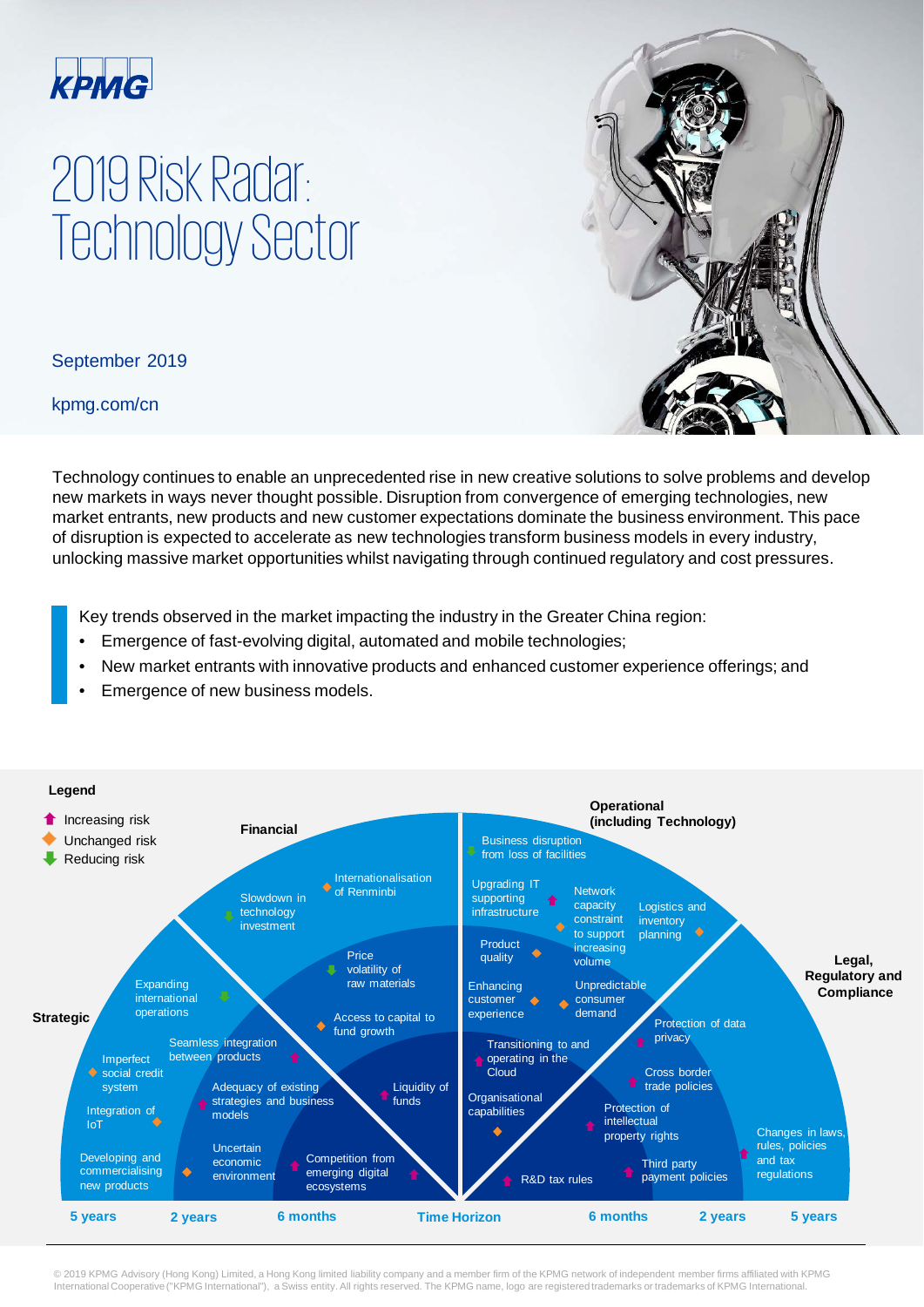

## 2019 Risk Radar: Technology Sector

September 2019

kpmg.com/cn



Technology continues to enable an unprecedented rise in new creative solutions to solve problems and develop new markets in ways never thought possible. Disruption from convergence of emerging technologies, new market entrants, new products and new customer expectations dominate the business environment. This pace of disruption is expected to accelerate as new technologies transform business models in every industry, unlocking massive market opportunities whilst navigating through continued regulatory and cost pressures.

Key trends observed in the market impacting the industry in the Greater China region:

- Emergence of fast-evolving digital, automated and mobile technologies;
- New market entrants with innovative products and enhanced customer experience offerings; and
- Emergence of new business models.



© 2019 KPMG Advisory (Hong Kong) Limited, a Hong Kong limited liability company and a member firm of the KPMG network of independent member firms affiliated with KPMG<br>International Cooperative ("KPMG International"), a Swi